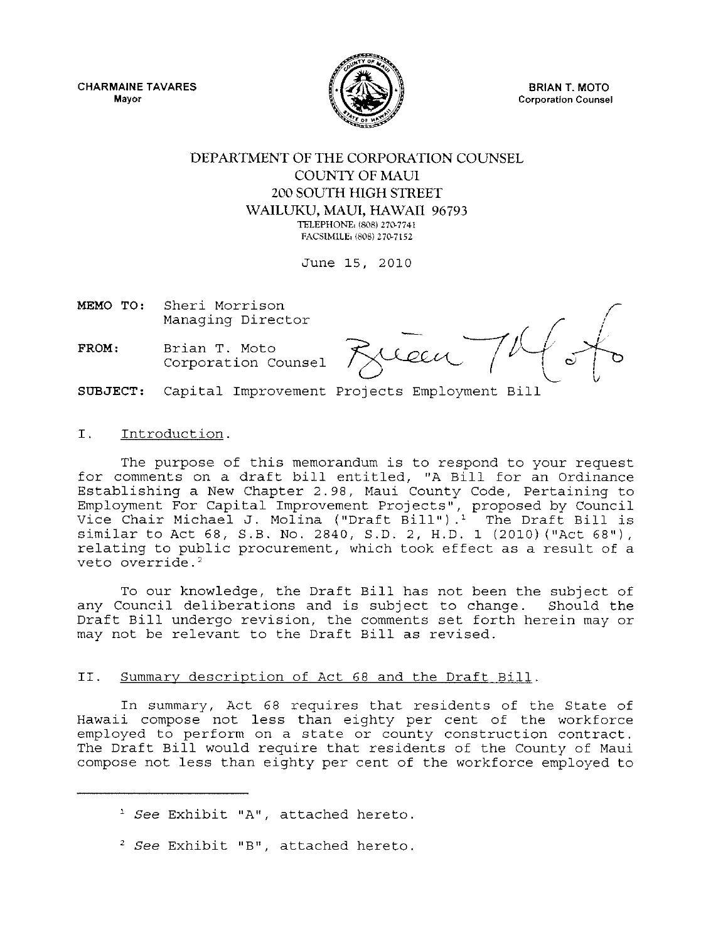CHARMAINE TAVARES **Mayor** 



BRIAN T. MOTO **Corporation Counsel** 

## DEPARTMENT OF THE CORPORATION COUNSEL COUNTY OF MAUl 200 SOUTH HIGH STREET WAILUKU, MAUl, HAWAII 96793 **TELEPHONEI** (808) **270-7741**

FACSIMILE: (808) 270-7152

June 15, 2010

MEMO TO: Sheri Morrison Managing Director

FROM: Brian T. Moto Corporation Counsel

SUBJECT: Capital Improvement Projects Employment Bill

### I. Introduction.

The purpose of this memorandum is to respond to your request for comments on a draft bill entitled, "A Bill for an Ordinance Establishing a New Chapter 2.98, Maui County Code, Pertaining to Employment For Capital Improvement Projects", proposed by Council Vice Chair Michael J. Molina ("Draft Bill").' The Draft Bill is similar to Act 68, S.B. No. 2840, S.D. 2, H.D. 1 (2010) ("Act 68"), relating to public procurement, which took effect as a result of a veto override.<sup>2</sup>

To our knowledge, the Draft Bill has not been the subject of any Council deliberations and is subject to change. Should the Draft Bill undergo revision, the comments set forth herein may or may not be relevant to the Draft Bill as revised.

#### II. Summary description of Act 68 and the Draft Bill.

In summary, Act 68 requires that residents of the State of Hawaii compose not less than eighty per cent of the workforce employed to perform on a state or county construction contract. The Draft Bill would require that residents of the County of Maui compose not less than eighty per cent of the workforce employed to

- , *See* Exhibit "A", attached hereto.
- 2 *See* Exhibit "B", attached hereto.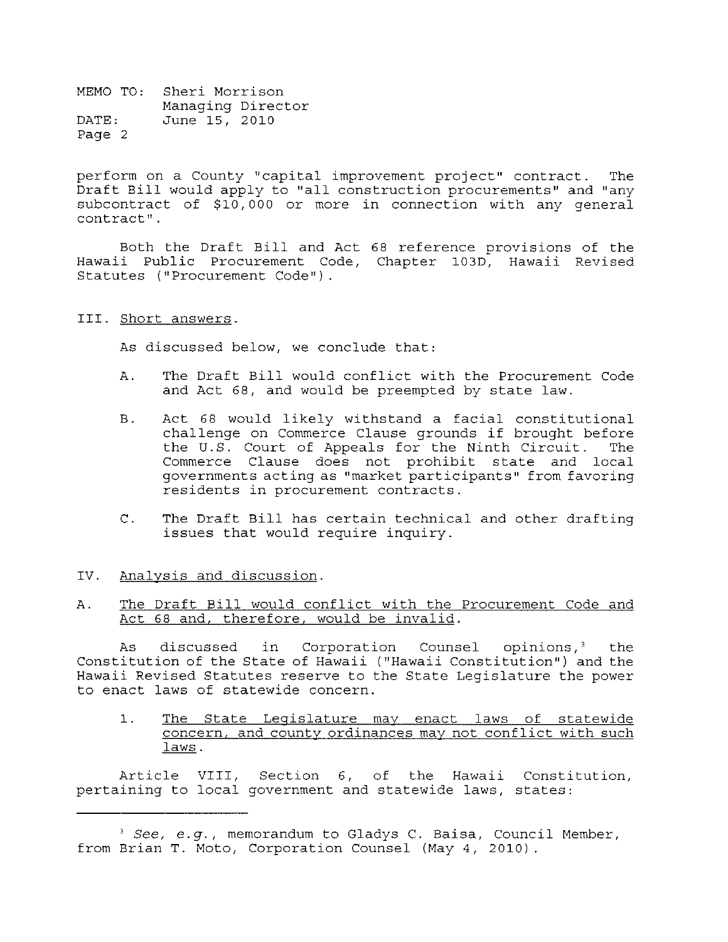perform on a County "capital improvement project" contract. The Draft Bill would apply to "all construction procurements" and "any subcontract of \$10,000 or more in connection with any general **contract" .** 

Both the Draft Bill and Act 68 reference provisions of the Hawaii Public Procurement Code, Chapter 103D, Hawaii Revised Statutes ("Procurement Code") .

#### III. Short answers.

As discussed below, we conclude that:

- A. The Draft Bill would conflict with the Procurement Code and Act 68, and would be preempted by state law.
- B. Act 68 would likely withstand a facial constitutional challenge on Commerce Clause grounds if brought before<br>the U.S. Court of Appeals for the Ninth Circuit. The the  $U.S.$  Court of Appeals for the Ninth Circuit. Commerce Clause does not prohibit state and local governments acting as "market participants" from favoring residents in procurement contracts.
- C. The Draft Bill has certain technical and other drafting issues that would require inquiry.

#### IV. Analysis and discussion.

#### A. The Draft Bill would conflict with the Procurement Code and Act 68 and, therefore, would be invalid.

As discussed in Corporation Counsel opinions,<sup>3</sup> the Constitution of the State of Hawaii ("Hawaii Constitution") and the Hawaii Revised Statutes reserve to the State Legislature the power to enact laws of statewide concern.

1. The State Legislature may enact laws of statewide concern, and county ordinances may not conflict with such laws.

Article VIII, Section 6, of the Hawaii Constitution, pertaining to local government and statewide laws, states:

*<sup>3</sup> See, e.g.,* memorandum to Gladys C. Baisa, Council Member, from Brian T. Moto, Corporation Counsel (May 4, 2010).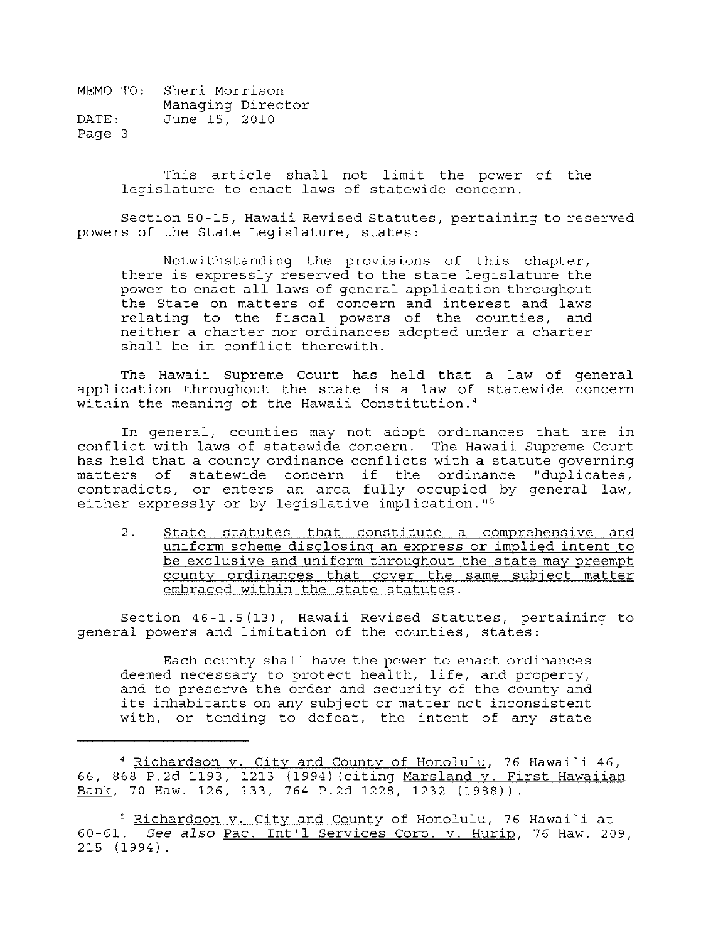> This article shall not limit the power of the legislature to enact laws of statewide concern.

Section 50 -15, Hawaii Revised Statutes, pertaining to reserved powers of the State Legislature, states:

Notwi thstanding the provisions of this chapter, there is expressly reserved to the state legislature the power to enact all laws of general application throughout the State on matters of concern and interest and laws relating to the fiscal powers of the counties, and neither a charter nor ordinances adopted under a charter shall be in conflict therewith.

The Hawaii Supreme Court has held that a law of general application throughout the state is a law of statewide concern within the meaning of the Hawaii Constitution.<sup>4</sup>

In general, counties may not adopt ordinances that are in conflict with laws of statewide concern. The Hawaii Supreme Court has held that a county ordinance conflicts with a statute governing matters of statewide concern if the ordinance "duplicates, contradicts, or enters an area fully occupied by general law, either expressly or by legislative implication."<sup>5</sup>

2. State statutes that constitute a comprehensive and uniform scheme disclosing an express or implied intent to be exclusive and uniform throughout the state may preempt county ordinances that cover the same subject matter embraced within the state statutes.

Section 46-1.5(13), Hawaii Revised Statutes, pertaining to general powers and limitation of the counties, states:

Each county shall have the power to enact ordinances deemed necessary to protect health, life, and property, and to preserve the order and security of the county and its inhabitants on any subject or matter not inconsistent with, or tending to defeat, the intent of any state

<sup>4</sup> Richardson v. City and County of Honolulu, 76 Hawai'i 46, 66, 868 P.2d 1193, 1213 (1994) (citing Marsland v. First Hawaiian Bank, 70 Haw. 126, 133, 764 P.2d 1228, 1232 (1988)).

<sup>&</sup>lt;sup>5</sup> Richardson v. City and County of Honolulu, 76 Hawai'i at *60-61. See also* Pac. Int'l Services Corp. v. Hurip, 76 Haw. 209, 215 (1994).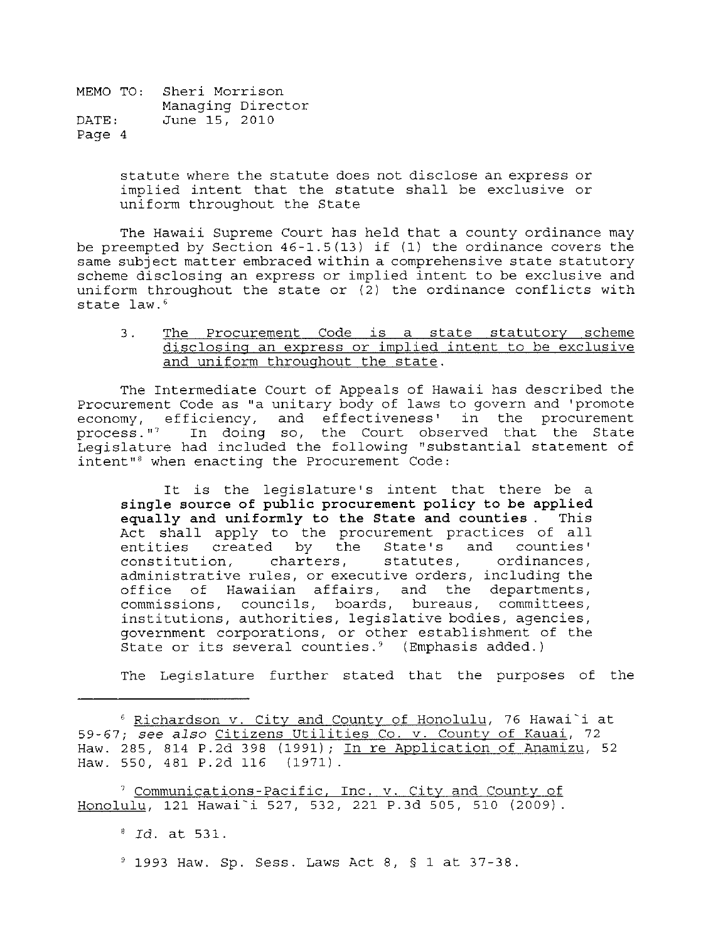> statute where the statute does not disclose an express or implied intent that the statute shall be exclusive or uniform throughout the State

The Hawaii Supreme Court has held that a county ordinance may be preempted by Section 46-1.5(13) if (1) the ordinance covers the same subject matter embraced within a comprehensive state statutory scheme disclosing an express or implied intent to be exclusive and uniform throughout the state or  $(2)$  the ordinance conflicts with state law.<sup>6</sup>

3. The Procurement Code is a state statutory scheme disclosing an express or implied intent to be exclusive and uniform throughout the state.

The Intermediate Court of Appeals of Hawaii has described the Procurement Code as "a unitary body of laws to govern and 'promote economy, efficiency, and effectiveness' in the procurement process." In doing so, the Court observed that the State Legislature had included the following "substantial statement of intent"8 when enacting the Procurement Code:

It is the legislature's intent that there be a single source of public procurement policy to be applied equally and uniformly to the State and counties. This Act shall apply to the procurement practices of all entities created by the State's and counties' entities created by the State's and counties'<br>constitution, charters, statutes, ordinances, constitution, administrative rules, or executive orders, including the office of Hawaiian affairs, and the departments, commissions, councils, boards, bureaus, committees, institutions, authorities, legislative bodies, agencies, government corporations, or other establishment of the State or its several counties.<sup>9</sup> (Emphasis added.)

The Legislature further stated that the purposes of the

7 Communications-Pacific, Inc. v. City and County of Honolulu, 121 Hawai'i 527, 532, 221 P.3d 505, 510 (2009)

<sup>8</sup>*Id.* at 531.

 $9$  1993 Haw. Sp. Sess. Laws Act 8, § 1 at 37-38.

<sup>6</sup> Richardson v. City and County of Honolulu, 76 Hawai'i at 59-67; see *also* Citizens utilities Co. v. County of Kauai, 72 Haw. 285, 814 P.2d 398 (1991); In re Application of Anamizu, 52 Haw. 550, 481 P.2d 116 (1971)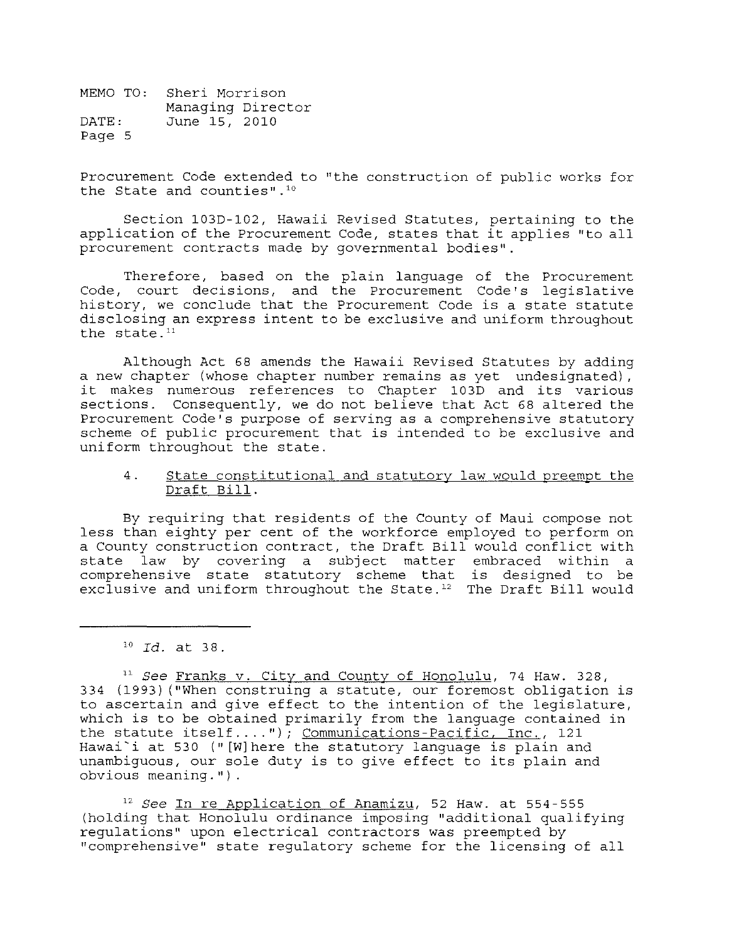Procurement Code extended to "the construction of public works for the State and counties". 10

Section 103D-102, Hawaii Revised Statutes, pertaining to the application of the Procurement Code, states that it applies "to all procurement contracts made by governmental bodies".

Therefore, based on the plain language of the Procurement Code, court decisions, and the Procurement Code's legislative history, we conclude that the Procurement Code is a state statute disclosing an express intent to be exclusive and uniform throughout the state. $11$ 

Although Act 68 amends the Hawaii Revised Statutes by adding a new chapter (whose chapter number remains as yet undesignated), it makes numerous references to Chapter 103D and its various sections. Consequently, we do not believe that Act 68 altered the Procurement Code's purpose of serving as a comprehensive statutory scheme of public procurement that is intended to be exclusive and uniform throughout the state.

#### 4. State constitutional and statutory law would preempt the Draft Bill.

By requiring that residents of the County of Maui compose not less than eighty per cent of the workforce employed to perform on a County construction contract, the Draft Bill would conflict with state law by covering a subject matter embraced within a comprehensive state statutory scheme that is designed to be exclusive and uniform throughout the State.<sup>12</sup> The Draft Bill would

*12 See* In re Application of Anamizu, 52 Haw. at 554-555 (holding that Honolulu ordinance imposing "additional qualifying regulations" upon electrical contractors was preempted by "comprehensive" state regulatory scheme for the licensing of all

*<sup>10</sup>Id.* **at 38.** 

<sup>11</sup>*See* Franks v. City and County of Honolulu, 74 Haw. 328, 334 (1993) ("When construing a statute, our foremost obligation is to ascertain and give effect to the intention of the legislature, which is to be obtained primarily from the language contained in the statute itself...."); Communications-Pacific, Inc., 121 Hawai'i at 530 (" [W]here the statutory language is plain and unambiguous, our sole duty is to give effect to its plain and obvious meaning.").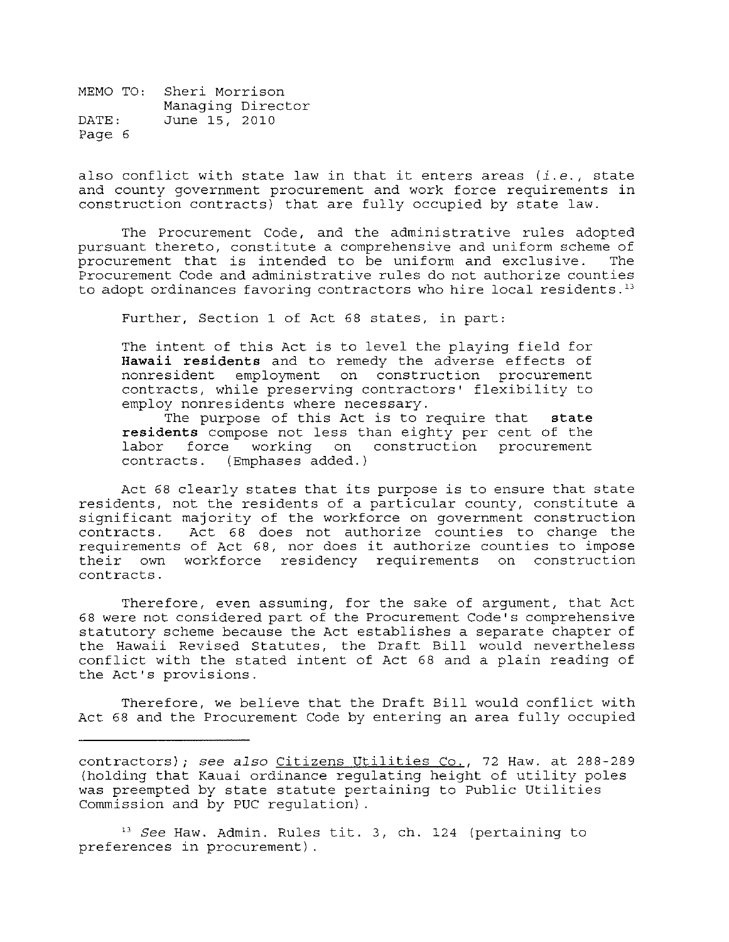also conflict with state law in that it enters areas *(i.e.,* state and county government procurement and work force requirements in construction contracts) that are fully occupied by state law.

The Procurement Code, and the administrative rules adopted pursuant thereto, constitute a comprehensive and uniform scheme of procurement that is intended to be uniform and exclusive. The procurement that is intended to be uniform and exclusive. Procurement Code and administrative rules do not authorize counties to adopt ordinances favoring contractors who hire local residents.<sup>13</sup>

Further, Section 1 of Act 68 states, in part:

The intent of this Act is to level the playing field for **Hawaii residents** and to remedy the adverse effects of nonresident employment on construction procurement contracts, while preserving contractors' flexibility to employ nonresidents where necessary.

The purpose of this Act is to require that **state residents** compose not less than eighty per cent of the labor force working on construction procurement contracts. (Emphases added.)

Act 68 clearly states that its purpose is to ensure that state residents, not the residents of a particular county, constitute a significant majority of the workforce on government construction<br>contracts. Act 68 does not authorize counties to change the Act  $68$  does not authorize counties to change the requirements of Act 68, nor does it authorize counties to impose their own workforce residency requirements on construction contracts.

Therefore, even assuming, for the sake of argument, that Act 68 were not considered part of the Procurement Code's comprehensive statutory scheme because the Act establishes a separate chapter of the Hawaii Revised Statutes, the Draft Bill would nevertheless conflict with the stated intent of Act 68 and a plain reading of the Act's provisions.

Therefore, we believe that the Draft Bill would conflict with Act 68 and the Procurement Code by entering an area fully occupied

<sup>13</sup>*See* Haw. Admin. Rules tit. 3, ch. 124 (pertaining to preferences in procurement) .

contractors); *see also* Citizens Utilities Co., 72 Haw. at 288-289 (holding that Kauai ordinance regulating height of utility poles was preempted by state statute pertaining to Public Utilities Commission and by PUC regulation) .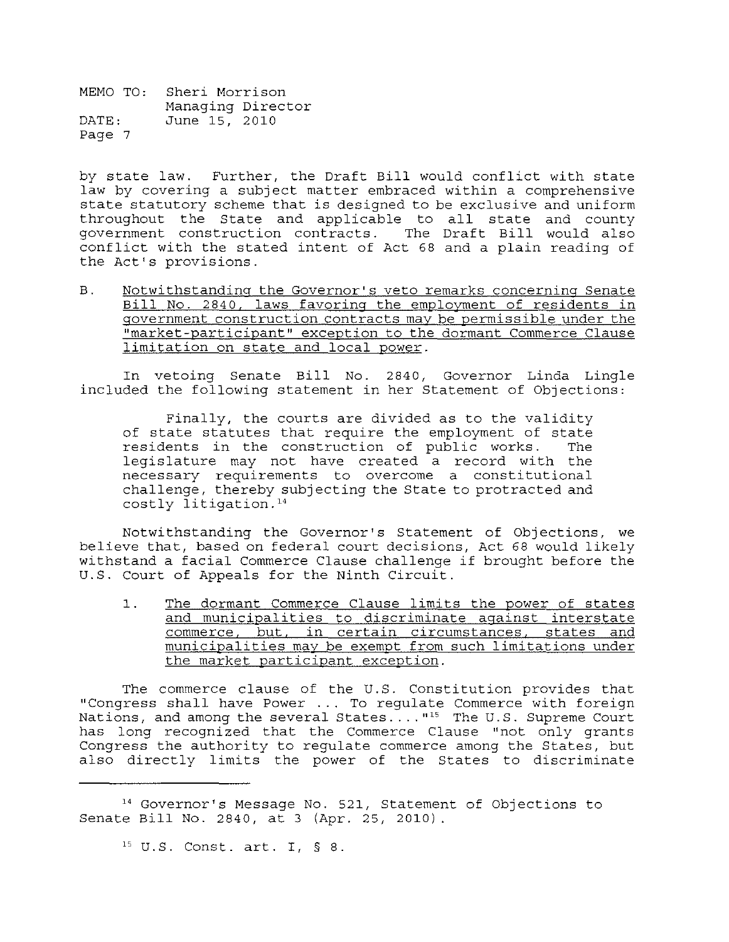by state law. Further, the Draft Bill would conflict with state law by covering a subject matter embraced within a comprehensive state statutory scheme that is designed to be exclusive and uniform beace seacurery sending that is acsigned to be exclusive and uniform government construction contracts. The Draft Bill would also conflict with the stated intent of Act 68 and a plain reading of the Act's provisions.

B. Notwithstanding the Governor's veto remarks concerning Senate Bill No. 2840, laws favoring the employment of residents in government construction contracts may be permissible under the "market-participant" exception to the dormant Commerce Clause limitation on state and local power.

In vetoing Senate Bill No. 2840, Governor Linda Lingle included the following statement in her Statement of Objections:

Finally, the courts are divided as to the validity of state statutes that require the employment of state<br>residents in the construction of public works. The residents in the construction of public works. legislature may not have created a record with the necessary requirements to overcome a constitutional challenge, thereby subjecting the State to protracted and  $costly$  litigation.<sup>14</sup>

Notwithstanding the Governor's Statement of Objections, we believe that, based on federal court decisions, Act 68 would likely withstand a facial Commerce Clause challenge if brought before the U.S. Court of Appeals for the Ninth Circuit.

1. The dormant Commerce Clause limits the power of states and municipalities to discriminate against interstate commerce, but, in certain circumstances, states and municipalities may be exempt from such limitations under the market participant exception.

The commerce clause of the U.S. Constitution provides that "Congress shall have Power ... To regulate Commerce with foreign Nations, and among the several States...."<sup>15</sup> The U.S. Supreme Court has long recognized that the Commerce Clause "not only grants Congress the authority to regulate commerce among the States, but also directly limits the power of the States to discriminate

<sup>14</sup> Governor's Message No. 521, Statement of Objections to Senate Bill No. 2840, at 3 (Apr. 25, 2010).

<sup>15</sup> U. S. Const. art. I, § 8.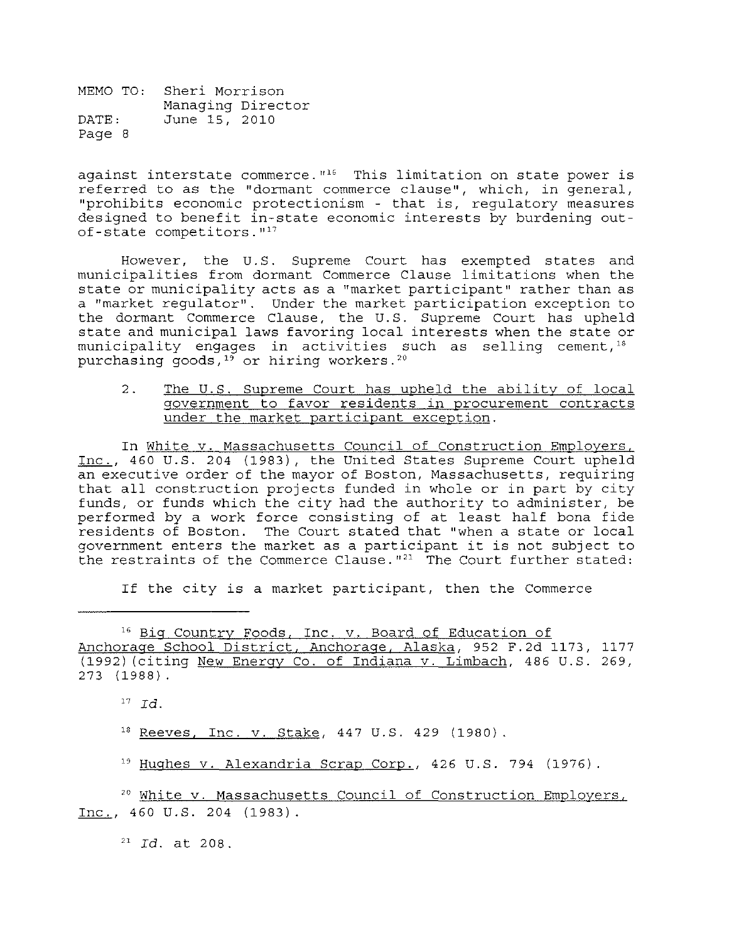against interstate commerce.  $16$  This limitation on state power is referred to as the "dormant commerce clause", which, in general, "prohibits economic protectionism - that is, regulatory measures designed to benefit in-state economic interests by burdening out $of$ -state competitors. $"$ 17

However, the U. S. Supreme Court has exempted states and municipalities from dormant Commerce Clause limitations when the state or municipality acts as a "market participant" rather than as a "market regulator". Under the market participation exception to the dormant Commerce Clause, the U. S. Supreme Court has upheld state and municipal laws favoring local interests when the state or municipality engages in activities such as selling cement,  $18$ purchasing goods,<sup>19</sup> or hiring workers.<sup>20</sup>

2. The U.S. Supreme Court has upheld the ability of local government to favor residents in procurement contracts under the market participant exception.

In White v. Massachusetts Council of Construction Employers, Inc., 460 U.S. 204 (1983), the United States Supreme Court upheld an executive order of the mayor of Boston, Massachusetts, requiring that all construction projects funded in whole or in part by city funds, or funds which the city had the authority to administer, be performed by a work force consisting of at least half bona fide residents of Boston. The Court stated that "when a state or local government enters the market as a participant it is not subject to the restraints of the Commerce Clause.  $n^{21}$  The Court further stated:

If the city is a market participant, then the Commerce

16 Big Country Foods, Inc. v. Board of Education of Anchorage School District, Anchorage, Alaska, 952 F.2d 1173, 1177 (1992) (citing New Energy Co. of Indiana v. Limbach, 486 U.S. 269, 273 (1988).

<sup>17</sup>*Id.* 

18 Reeves, Inc. v. Stake, 447 U.S. 429 (1980).

<sup>19</sup> Hughes v. Alexandria Scrap Corp., 426 U.S. 794 (1976).

<sup>20</sup> White v. Massachusetts Council of Construction Employers, Inc., 460 U.S. 204 (1983).

21 *Id.* at 208.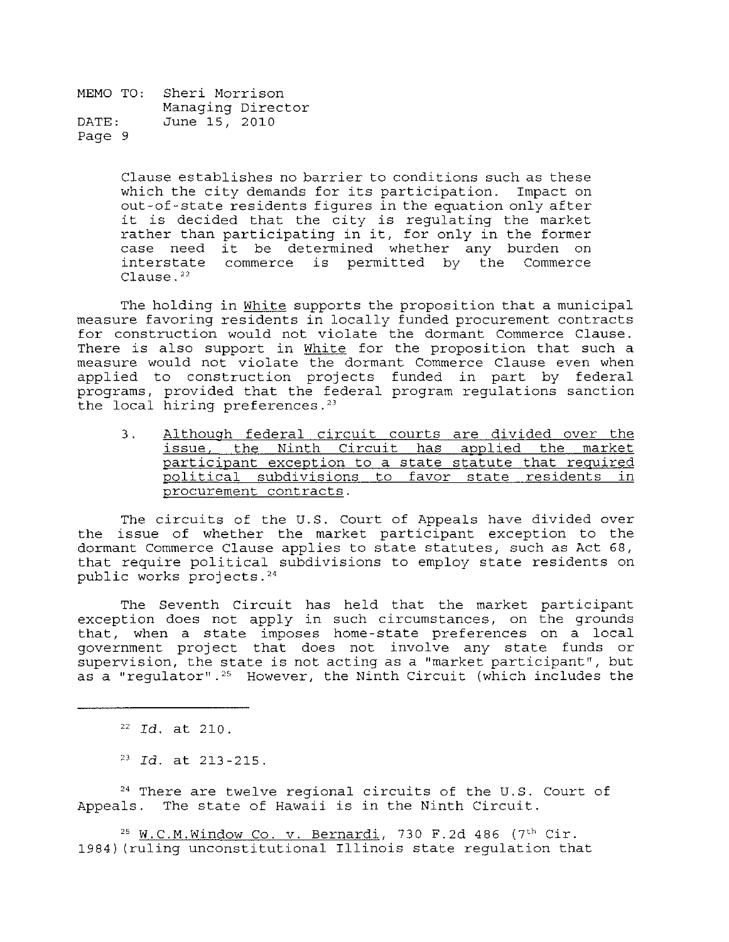> Clause establishes no barrier to conditions such as these which the city demands for its participation. Impact on out-of-state residents figures in the equation only after it is decided that the city is regulating the market rather than participating in it, for only in the former case need it be determined whether any burden on interstate commerce is permitted by the Commerce Clause. <sup>22</sup>

The holding in White supports the proposition that a municipal measure favoring residents in locally funded procurement contracts for construction would not violate the dormant Commerce Clause. There is also support in White for the proposition that such a measure would not violate the dormant Commerce Clause even when applied to construction projects funded in part by federal programs, provided that the federal program regulations sanction the local hiring preferences.<sup>23</sup>

3. Although federal circuit courts are divided over the issue, the Ninth Circuit has applied the market participant exception to a state statute that required political subdivisions to favor state residents in procurement contracts.

The circuits of the U.S. Court of Appeals have divided over the issue of whether the market participant exception to the dormant Commerce Clause applies to state statutes, such as Act 68, that require political subdivisions to employ state residents on public works projects.<sup>24</sup>

The Seventh Circuit has held that the market participant exception does not apply in such circumstances, on the grounds that, when a state imposes home-state preferences on a local government project that does not involve any state funds or supervision, the state is not acting as a "market participant", but as a "requlator".<sup>25</sup> However, the Ninth Circuit (which includes the

*<sup>22</sup>Id.* **at 210.** 

*<sup>23</sup>Id.* **at 213-215.** 

<sup>24</sup> There are twelve regional circuits of the U.S. Court of Appeals. The state of Hawaii is in the Ninth Circuit.

 $25$  W.C.M.Window Co. v. Bernardi, 730 F.2d 486 (7<sup>th</sup> Cir. 1984) (ruling unconstitutional Illinois state regulation that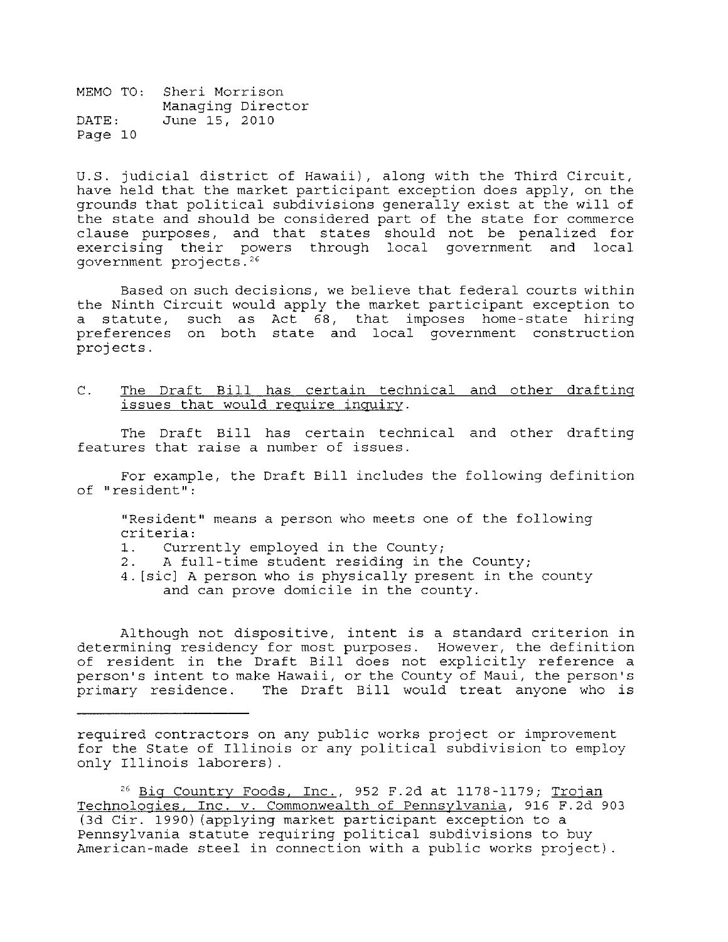U.S. judicial district of Hawaii), along with the Third Circuit, have held that the market participant exception does apply, on the grounds that political subdivisions generally exist at the will of the state and should be considered part of the state for commerce clause purposes, and that states should not be penalized for exercising their powers through local government and local government projects.<sup>26</sup>

Based on such decisions, we believe that federal courts within the Ninth Circuit would apply the market participant exception to a statute, such as Act 68, that imposes home-state hiring preferences on both state and local government construction projects.

C. The Draft Bill has certain technical and other drafting issues that would require inquiry.

The Draft Bill has certain technical and other drafting features that raise a number of issues.

For example, the Draft Bill includes the following definition **of Hresident":** 

"Resident" means a person who meets one of the following criteria:<br>1. Curre

- 1. Currently employed in the County;<br>2. A full-time student residing in t
- A full-time student residing in the County;
- 4. [sicl A person who is physically present in the county and can prove domicile in the county.

Although not dispositive, intent is a standard criterion in determining residency for most purposes. However, the definition of resident in the Draft Bill does not explicitly reference a person's intent to make Hawaii, or the County of Maui, the person's primary residence. The Draft Bill would treat anyone who is

required contractors on any public works project or improvement for the State of Illinois or any political subdivision to employ only Illinois laborers).

<sup>26</sup> Big Country Foods, Inc., 952 F.2d at 1178-1179; Trojan Technologies, Inc. v. Commonwealth of Pennsylvania, 916 F.2d 903 (3d Cir. 1990) (applying market participant exception to a Pennsylvania statute requiring political subdivisions to buy American-made steel in connection with a public works project).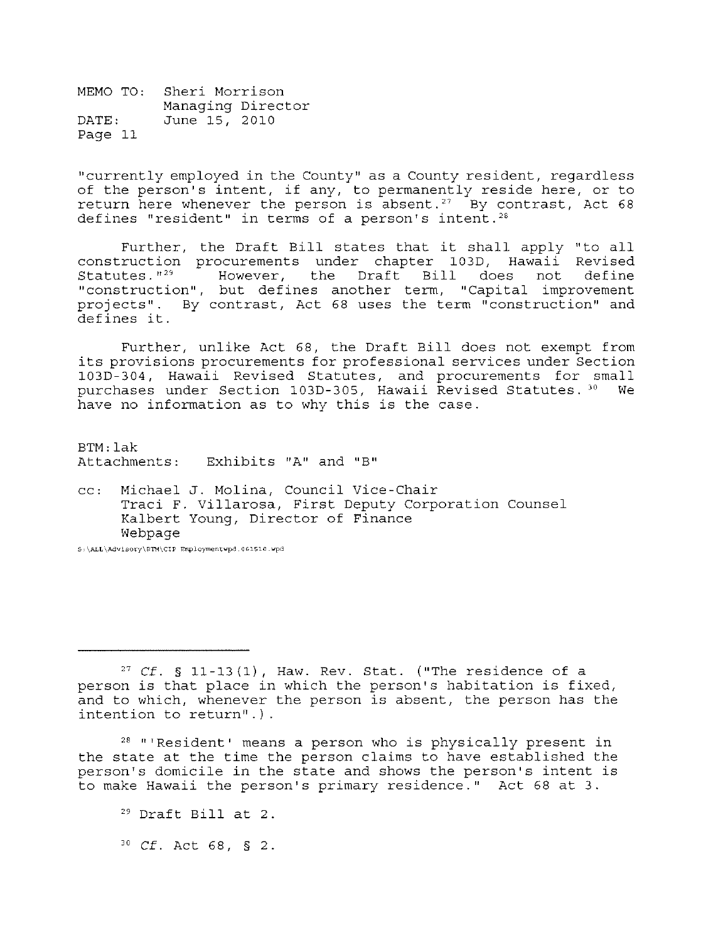"currently employed in the County" as a County resident, regardless of the person's intent, if any, to permanently reside here, or to return here whenever the person is absent.<sup>27</sup> By contrast, Act 68 defines "resident" in terms of a person's intent.<sup>28</sup>

Further, the Draft Bill states that it shall apply "to all construction procurements under chapter 103D, Hawaii Revised  $Statutes.$  $"39"$ However, the Draft Bill does not define "construction", but defines another term, "Capital improvement projects". By contrast, Act 68 uses the term "construction" and defines it.

Further, unlike Act 68, the Draft Bill does not exempt from its provisions procurements for professional services under Section 103D-304, Hawaii Revised Statutes, and procurements for small purchases under Section 103D-305, Hawaii Revised Statutes. 30 We have no information as to why this is the case.

BTM: lak Attachments: **Exhibits I'A" and "B"** 

cc: Michael J. Molina, Council Vice-Chair Traci F. Villarosa, First Deputy Corporation Counsel Kalbert Young, Director of Finance Webpage

S, **\ALL\AdviSQt-y\B'rn\CIP Employmentwpd.** 061510. wpd

28 "'Resident' means a person who is physically present in the state at the time the person claims to have established the person's domicile in the state and shows the person's intent is to make Hawaii the person's primary residence." Act 68 at 3.

 $29$  Draft Bill at 2.

*30* Cf. Act 68, § 2.

 $27$  Cf. § 11-13(1), Haw. Rev. Stat. ("The residence of a person is that place in which the person's habitation is fixed, and to which, whenever the person is absent, the person has the intention to return".).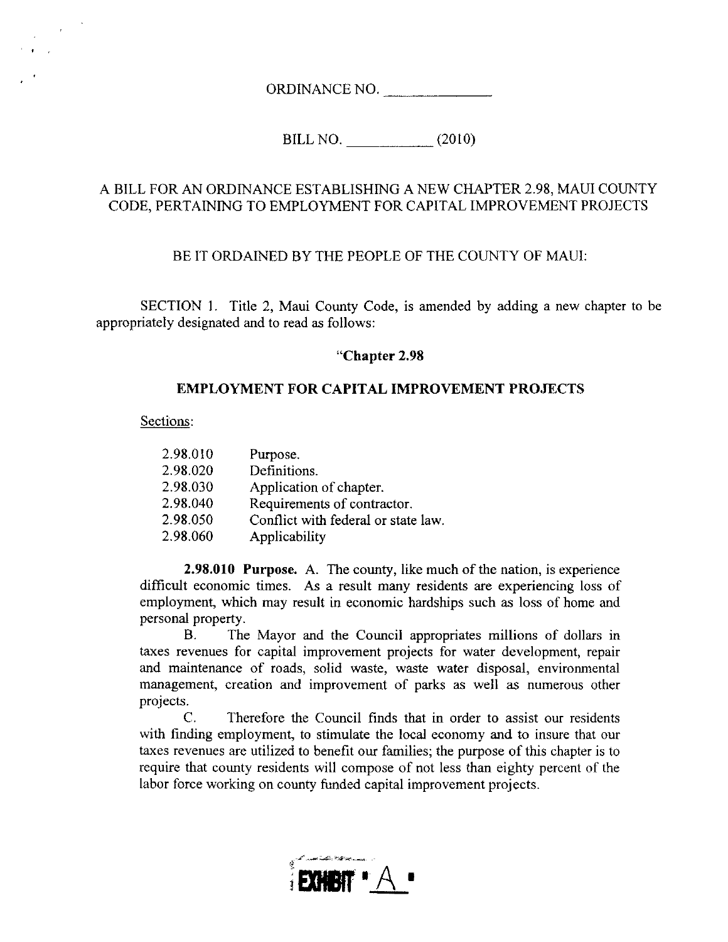ORDINANCE NO.

BILL NO. \_\_\_\_ (2010)

## A BILL FOR AN ORDINANCE ESTABLISHING A NEW CHAPTER 2.98, MAUl COUNTY CODE, PERTAINING TO EMPLOYMENT FOR CAPITAL IMPROVEMENT PROJECTS

## BE IT ORDAINED BY THE PEOPLE OF THE COUNTY OF MAUl:

SECTION 1. Title 2, Maui County Code, is amended by adding a new chapter to be appropriately designated and to read as follows:

## **"Chapter 2.98**

## **EMPLOYMENT FOR CAPITAL IMPROVEMENT PROJECTS**

Sections:

| 2.98.010 | Purpose.                            |
|----------|-------------------------------------|
| 2.98.020 | Definitions.                        |
| 2.98.030 | Application of chapter.             |
| 2.98.040 | Requirements of contractor.         |
| 2.98.050 | Conflict with federal or state law. |
| 2.98.060 | Applicability                       |

**2.98.010 Purpose.** A. The county, like much of the nation, is experience difficult economic times. As a result many residents are experiencing loss of employment, which may result in economic hardships such as loss of home and personal property.

B. The Mayor and the Council appropriates millions of dollars in taxes revenues for capital improvement projects for water development, repair and maintenance of roads, solid waste, waste water disposal, environmental management, creation and improvement of parks as well as numerous other projects.

C. Therefore the Council finds that in order to assist our residents with finding employment, to stimulate the local economy and to insure that our taxes revenues are utilized to benefit our families; the purpose of this chapter is to require that county residents will compose of not less than eighty percent of the labor force working on county funded capital improvement projects.

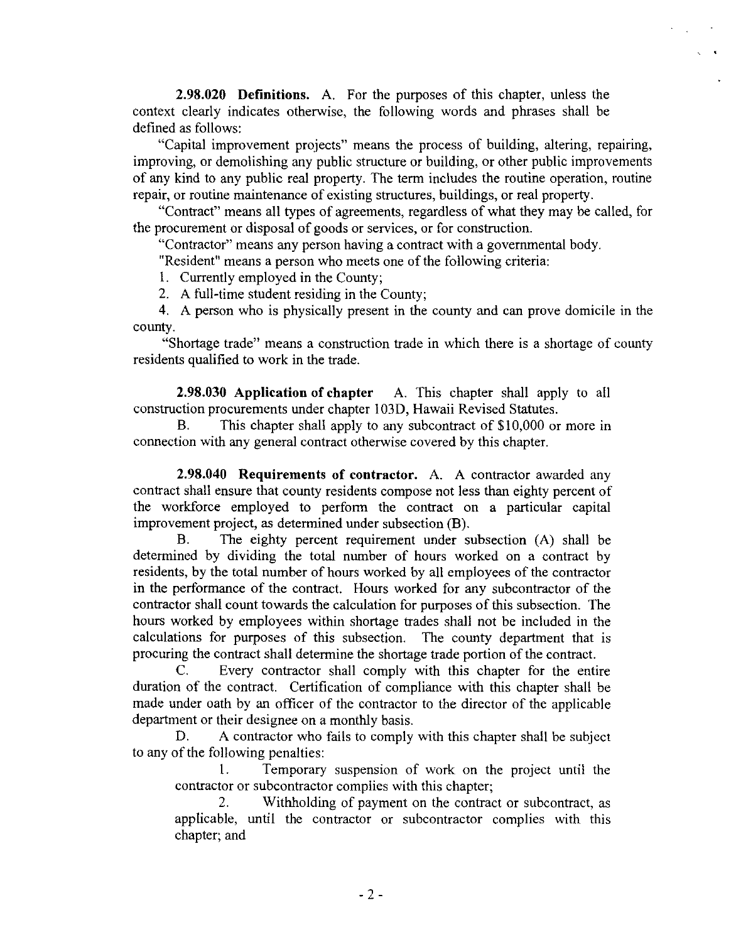**2.98.020 Definitions.** A. For the purposes of this chapter, unless the context clearly indicates otherwise, the following words and phrases shall be defined as follows:

"Capital improvement projects" means the process of building, altering, repairing, improving, or demolishing any public structure or building, or other public improvements of any kind to any public real property. The term includes the routine operation, routine repair, or routine maintenance of existing structures, buildings, or real property.

"Contract" means all types of agreements, regardless of what they may be called, for the procurement or disposal of goods or services, or for construction.

"Contractor" means any person having a contract with a governmental body.

"Resident" means a person who meets one of the following criteria:

I. Currently employed in the County;

2. A full-time student residing in the County;

4. A person who is physically present in the county and can prove domicile in the county.

"Shortage trade" means a construction trade in which there is a shortage of county residents qualified to work in the trade.

**2.98.030 Application of chapter** A. This chapter shall apply to all construction procurements under chapter 103D, Hawaii Revised Statutes.

B. This chapter shall apply to any subcontract of \$10,000 or more in connection with any general contract otherwise covered by this chapter.

**2.98.040 Requirements of contractor.** A. A contractor awarded any contract shall ensure that county residents compose not less than eighty percent of the workforce employed to perform the contract on a particular capital improvement project, as determined under subsection (B).

B. The eighty percent requirement under subsection (A) shall be determined by dividing the total number of hours worked on a contract by residents, by the total number of hours worked by all employees of the contractor **in** the performance of the contract. Hours worked for any subcontractor of the contractor shall count towards the calculation for purposes of this subsection. The hours worked by employees within shortage trades shall not be included in the calculations for purposes of this subsection. The county department that is procuring the contract shall determine the shortage trade portion of the contract.

C. Every contractor shall comply with this chapter for the entire duration of the contract. Certification of compliance with this chapter shall be made under oath by an officer of the contractor to the director of the applicable department or their designee on a monthly basis.

D. A contractor who fails to comply with this chapter shall be subject to any of the following penalties:

1. Temporary suspension of work on the project until the contractor or subcontractor complies with this chapter;

2. Withholding of payment on the contract or subcontract, as applicable, until the contractor or subcontractor complies with this chapter; and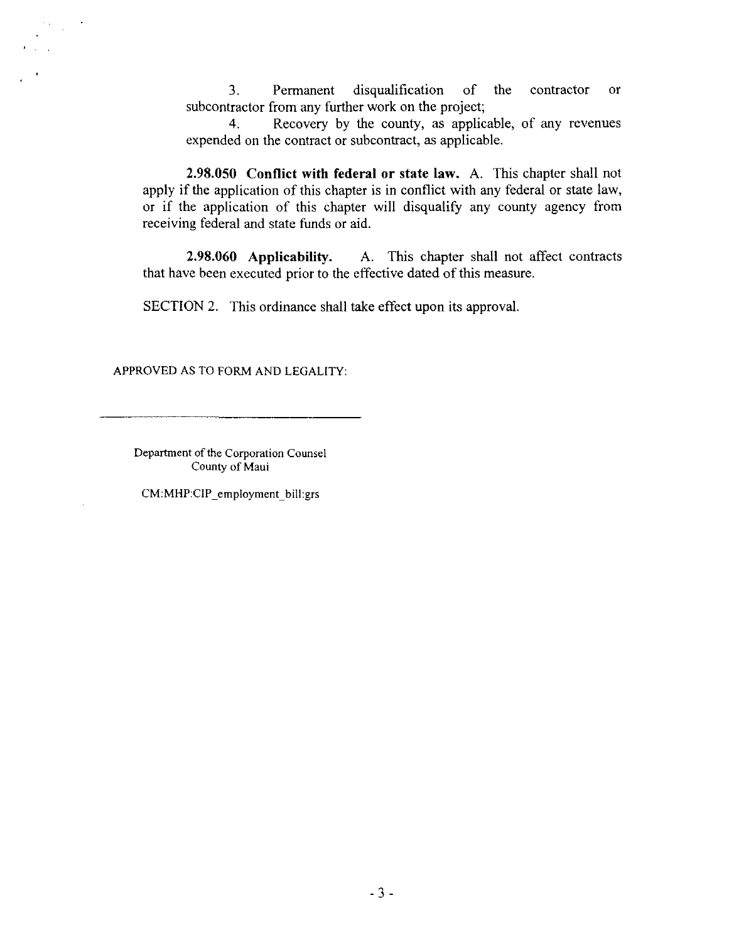3. Permanent disqualification of the contractor or subcontractor from any further work on the project;

4. Recovery by the county, as applicable, of any revenues expended on the contract or subcontract, as applicable.

**2.98.050 Conflict with federal or state law.** A. This chapter shall not apply if the application of this chapter is in conflict with any federal or state law, or if the application of this chapter will disqualify any county agency from receiving federal and state funds or aid.

**2.98.060 Applicability.** A. This chapter shall not affect contracts that have been executed prior to the effective dated of this measure.

SECTION 2. This ordinance shall take effect upon its approval.

APPROVED AS TO FORM AND LEGALITY:

Department of the Corporation Counsel County of Maui

CM:MHP:CIP \_employment\_ bill:grs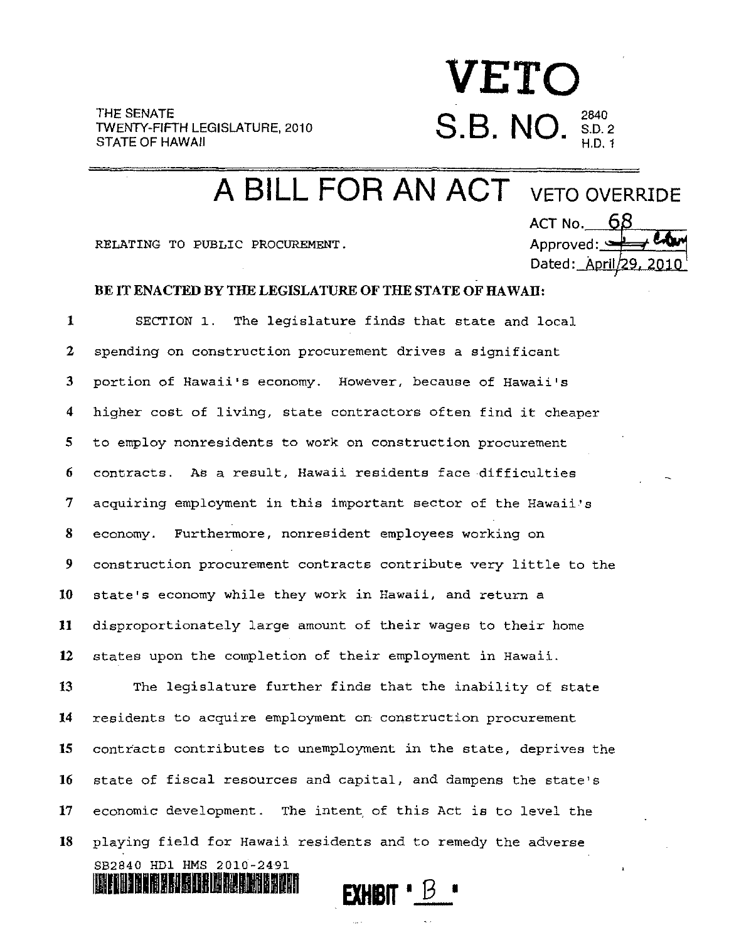**VETO S.B. NO.**  $_{\rm BD.2}^{\rm 2840}$ H.D.1

**A BILL FOR AN ACT** VETO OVERRIDE

RELATING TO PUBLIC PROCUREMENT.

111111111111101111.11011

ACT No.  $-68$ Approved: ~ Dated: April/29, 2010

## BE IT ENACTED BY THE LEGISLATURE OF THE STATE OF HAWAII:

1 SECTION 1. The legislature finds that state and local 2 spending on construction procurement drives a significant 3 portion of Hawaii'S economy. However, because of Hawaii's 4 higher cost of living, state contractors often find it cheaper 5 to employ nonresidents to work on construction procurement 6 contracts. As a result, Hawaii residents face difficulties 7 acquiring employment in this important sector of the Hawaii's 8 economy. Furthermore, nonresident employees working on 9 construction procurement contracts contribute very little to the 10 state's economy while they work in Hawaii, and return a 11 disproportionately large amount of their wages to their home 12 states upon the completion of their employment in Hawaii.

13 The legislature further finds that the inability of state 14 residents to acquire employment on construction procurement 15 contracts contributes to unemployment in the state, deprives the 16 state of fiscal resources and capital, and dampens the state's 17 economic development. The intent, of this Act is to level the 18 playing field for Hawaii residents and to remedy the adverse SB2840 HD1 HMS 2010-2491

**EXHBIT**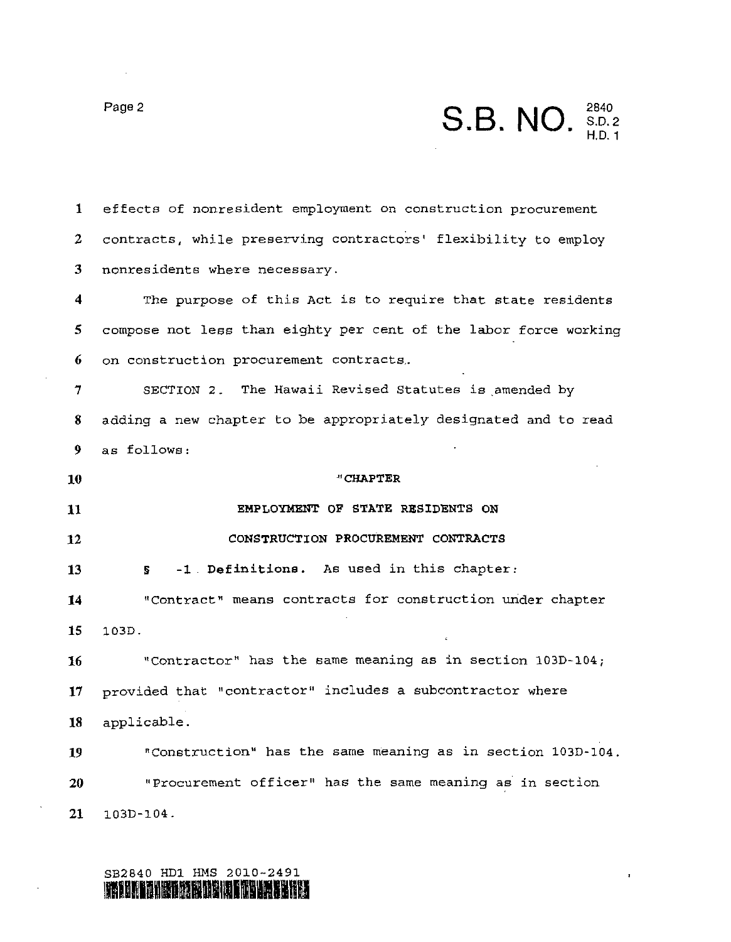# **Page 2 S.B. NO.** S.D. 2 H.D.1

1 effects of nonresident employment on construction procurement 2 contracts, while preserving contractors' flexibility to employ 3 nonresidents where necessary.

4 The purpose of this Act is to require that state residents 5 compose not less than eighty per cent of the labor force working 6 on construction procurement contracts ..

7 SECTION 2. The Hawaii Revised Statutes is amended by 8 adding a new chapter to be appropriately designated and to read 9 as follows:

**10 "CHAPTER 11 EMPLOYMENT OF STATE RESIDENTS ON 12 CONSTRUCTION PROCUREMENT CONTRACTS <sup>13</sup>**§ **-1. Definitions.** As used in this chapter: **14** "Contract" means contracts for construction under chapter **15** 103D. **16** "Contractor" has the same meaning as in section 103D-104; **17** provided that "contractor" includes a subcontractor where **18** applicable.

**19** "Construction" has the same meaning as in section 103D-104. **20** "Procurement officer" has the same meaning as in section **21** 103D-104.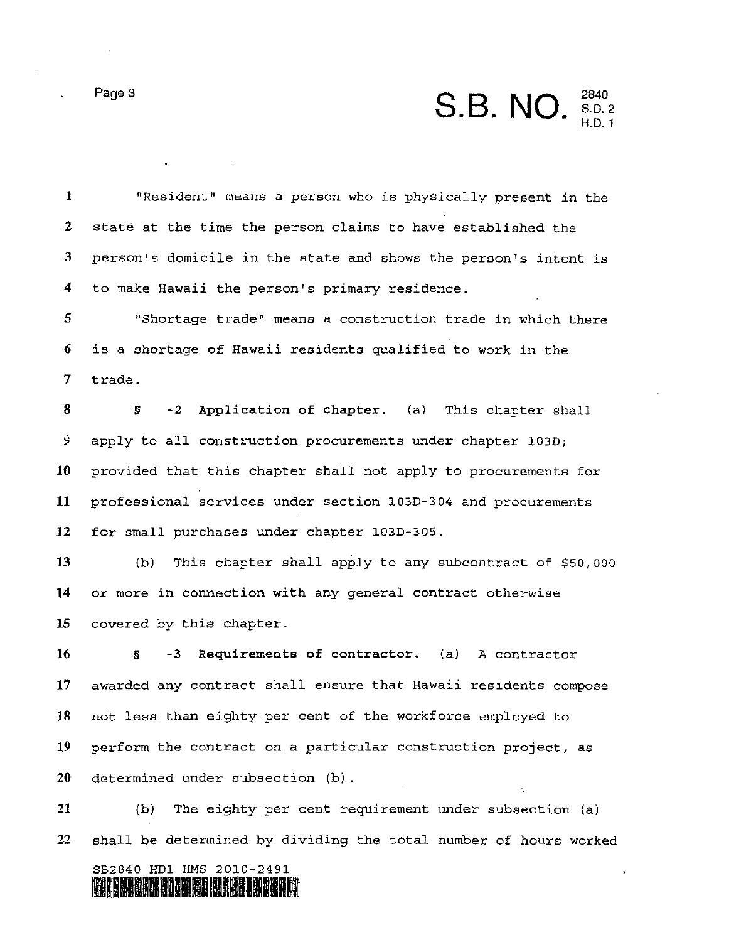Page 3 **S.B. NO.** 2840<br>S.D. 2 H.D.1

 $\bar{\mathbf{r}}$ 

1 "Resident" means a person who is physically present in the 2 state at the time the person claims to have established the 3 person's domicile in the state and shows the person's intent is 4 to make Hawaii the person's primary residence.

5 "Shortage trade" means a construction trade in which there 6 is a shortage of Hawaii residents qualified to work in the 7 trade.

8 § -2 Application of chapter. (a) This chapter shall 9 apply to all construction procurements under chapter 103D; 10 provided that this chapter shall not apply to procurements for **11** professional services under section 103D-304 and procurements 12 for small purchases under chapter 103D-30S.

13 (b) This chapter shall apply to any subcontract of \$50,000 **14** or more in connection with any general contract otherwise 15 covered by this chapter.

16 § -3 Requirements of contractor. (a) A contractor 17 awarded any contract shall ensure that Hawaii residents compose 18 not less than eighty per cent of the workforce employed to 19 perform the contract on a particular construction project, as 20 determined under subsection (b).

21 (b) The eighty per cent requirement under subsection (a) 22 shall be determined by dividing the total number of hours worked

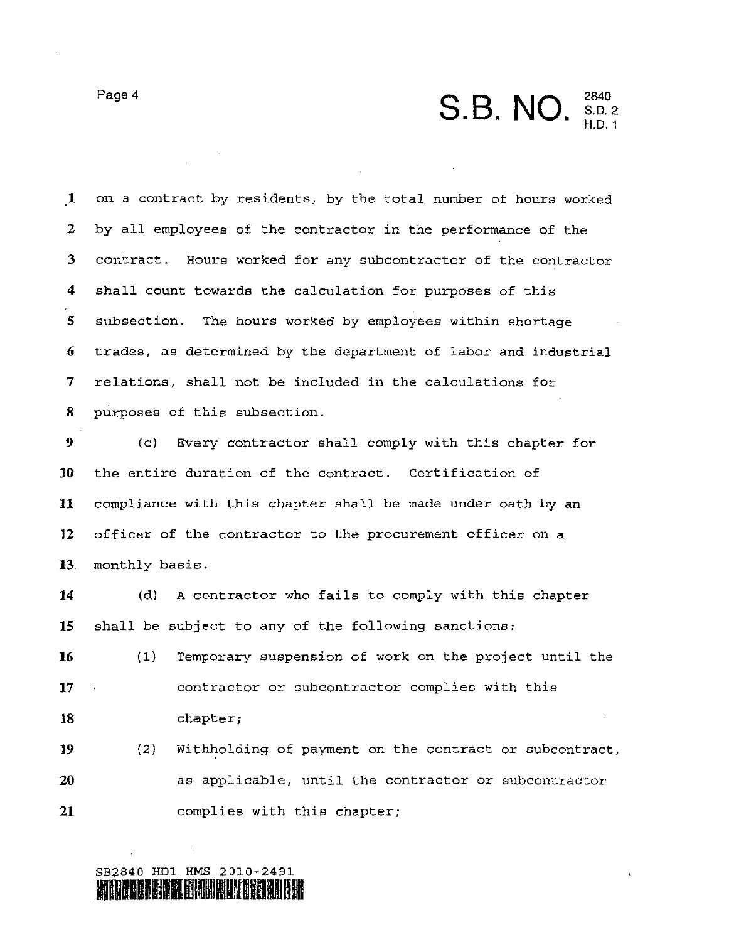Page 4 **S.B. NO.**  $^{2840}_{8.0.2}$ H.D.1

.1 on a contract by residents, by the total number of hours worked 2 by all employees of the contractor in the performance of the 3 contract. Hours worked for any subcontractor of the contractor 4 shall count towards the calculation for purposes of this 5 subsection. The hours worked by employees within shortage 6 trades, as determined by the department of labor and industrial 7 relations, shall not be included in the calculations for 8 purposes of this subsection.

9 (cl Every contractor shall comply with this chapter for **<sup>10</sup>**the entire duration of the contract. Certification of **<sup>11</sup>**compliance with this chapter shall be made under oath by an **12** officer of the contractor to the procurement officer on a 13. monthly basis.

14 (d) A contractor who fails to comply with this chapter **<sup>15</sup>**shall be subject to any of the following sanctions:

**16** (1 ) Temporary suspension of work on the project until the 17 contractor or subcontractor complies with this **18** chapter;

**19** (2 ) With~olding of payment on the contract or subcontract, 20 as applicable, until the contractor or subcontractor **<sup>21</sup>**complies with this chapter;

SB2840 HDl HMS 2010-2491 **111111111111111111111111111**